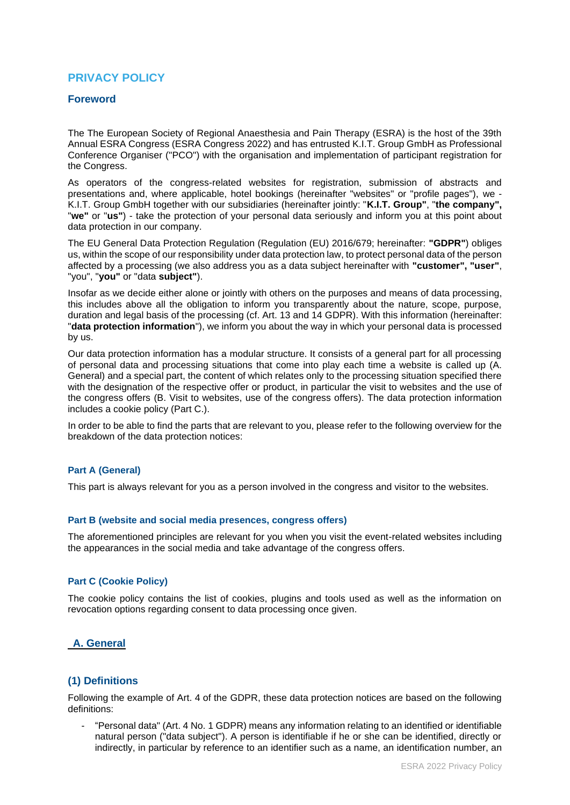# **PRIVACY POLICY**

### **Foreword**

The The European Society of Regional Anaesthesia and Pain Therapy (ESRA) is the host of the 39th Annual ESRA Congress (ESRA Congress 2022) and has entrusted K.I.T. Group GmbH as Professional Conference Organiser ("PCO") with the organisation and implementation of participant registration for the Congress.

As operators of the congress-related websites for registration, submission of abstracts and presentations and, where applicable, hotel bookings (hereinafter "websites" or "profile pages"), we - K.I.T. Group GmbH together with our subsidiaries (hereinafter jointly: "**K.I.T. Group"**, "**the company",**  "**we"** or "**us"**) - take the protection of your personal data seriously and inform you at this point about data protection in our company.

The EU General Data Protection Regulation (Regulation (EU) 2016/679; hereinafter: **"GDPR"**) obliges us, within the scope of our responsibility under data protection law, to protect personal data of the person affected by a processing (we also address you as a data subject hereinafter with **"customer", "user"**, "you", "**you"** or "data **subject"**).

Insofar as we decide either alone or jointly with others on the purposes and means of data processing, this includes above all the obligation to inform you transparently about the nature, scope, purpose, duration and legal basis of the processing (cf. Art. 13 and 14 GDPR). With this information (hereinafter: "**data protection information**"), we inform you about the way in which your personal data is processed by us.

Our data protection information has a modular structure. It consists of a general part for all processing of personal data and processing situations that come into play each time a website is called up (A. General) and a special part, the content of which relates only to the processing situation specified there with the designation of the respective offer or product, in particular the visit to websites and the use of the congress offers (B. Visit to websites, use of the congress offers). The data protection information includes a cookie policy (Part C.).

In order to be able to find the parts that are relevant to you, please refer to the following overview for the breakdown of the data protection notices:

### **Part A (General)**

This part is always relevant for you as a person involved in the congress and visitor to the websites.

#### **Part B (website and social media presences, congress offers)**

The aforementioned principles are relevant for you when you visit the event-related websites including the appearances in the social media and take advantage of the congress offers.

#### **Part C (Cookie Policy)**

The cookie policy contains the list of cookies, plugins and tools used as well as the information on revocation options regarding consent to data processing once given.

### **A. General**

### **(1) Definitions**

Following the example of Art. 4 of the GDPR, these data protection notices are based on the following definitions:

- "Personal data" (Art. 4 No. 1 GDPR) means any information relating to an identified or identifiable natural person ("data subject"). A person is identifiable if he or she can be identified, directly or indirectly, in particular by reference to an identifier such as a name, an identification number, an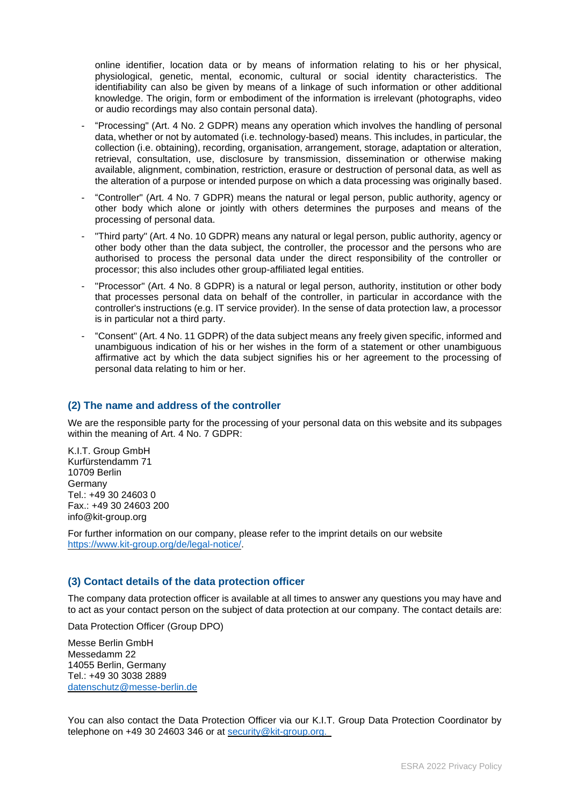online identifier, location data or by means of information relating to his or her physical, physiological, genetic, mental, economic, cultural or social identity characteristics. The identifiability can also be given by means of a linkage of such information or other additional knowledge. The origin, form or embodiment of the information is irrelevant (photographs, video or audio recordings may also contain personal data).

- "Processing" (Art. 4 No. 2 GDPR) means any operation which involves the handling of personal data, whether or not by automated (i.e. technology-based) means. This includes, in particular, the collection (i.e. obtaining), recording, organisation, arrangement, storage, adaptation or alteration, retrieval, consultation, use, disclosure by transmission, dissemination or otherwise making available, alignment, combination, restriction, erasure or destruction of personal data, as well as the alteration of a purpose or intended purpose on which a data processing was originally based.
- "Controller" (Art. 4 No. 7 GDPR) means the natural or legal person, public authority, agency or other body which alone or jointly with others determines the purposes and means of the processing of personal data.
- "Third party" (Art. 4 No. 10 GDPR) means any natural or legal person, public authority, agency or other body other than the data subject, the controller, the processor and the persons who are authorised to process the personal data under the direct responsibility of the controller or processor; this also includes other group-affiliated legal entities.
- "Processor" (Art. 4 No. 8 GDPR) is a natural or legal person, authority, institution or other body that processes personal data on behalf of the controller, in particular in accordance with the controller's instructions (e.g. IT service provider). In the sense of data protection law, a processor is in particular not a third party.
- "Consent" (Art. 4 No. 11 GDPR) of the data subject means any freely given specific, informed and unambiguous indication of his or her wishes in the form of a statement or other unambiguous affirmative act by which the data subject signifies his or her agreement to the processing of personal data relating to him or her.

### **(2) The name and address of the controller**

We are the responsible party for the processing of your personal data on this website and its subpages within the meaning of Art. 4 No. 7 GDPR:

K.I.T. Group GmbH Kurfürstendamm 71 10709 Berlin Germany Tel.: +49 30 24603 0 Fax.: +49 30 24603 200 info@kit-group.org

For further information on our company, please refer to the imprint details on our website [https://www.kit-group.org/de/legal-notice/.](https://www.kit-group.org/de/legal-notice/)

### **(3) Contact details of the data protection officer**

The company data protection officer is available at all times to answer any questions you may have and to act as your contact person on the subject of data protection at our company. The contact details are:

Data Protection Officer (Group DPO)

Messe Berlin GmbH Messedamm 22 14055 Berlin, Germany Tel.: +49 30 3038 2889 [datenschutz@messe-berlin.de](mailto:datenschutz@messe-berlin.de)

You can also contact the Data Protection Officer via our K.I.T. Group Data Protection Coordinator by telephone on +49 30 24603 346 or at security@kit-group.org.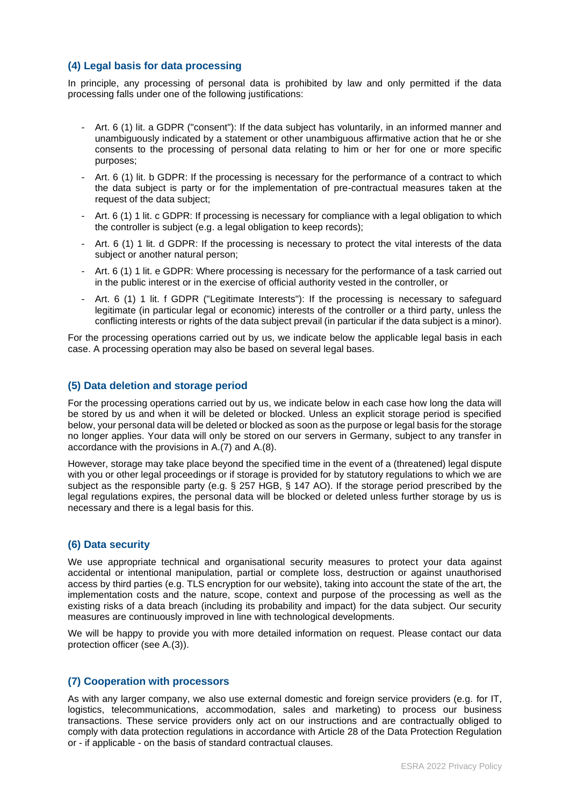### **(4) Legal basis for data processing**

In principle, any processing of personal data is prohibited by law and only permitted if the data processing falls under one of the following justifications:

- Art. 6 (1) lit. a GDPR ("consent"): If the data subject has voluntarily, in an informed manner and unambiguously indicated by a statement or other unambiguous affirmative action that he or she consents to the processing of personal data relating to him or her for one or more specific purposes;
- Art. 6 (1) lit. b GDPR: If the processing is necessary for the performance of a contract to which the data subject is party or for the implementation of pre-contractual measures taken at the request of the data subject;
- Art. 6 (1) 1 lit. c GDPR: If processing is necessary for compliance with a legal obligation to which the controller is subject (e.g. a legal obligation to keep records);
- Art. 6 (1) 1 lit. d GDPR: If the processing is necessary to protect the vital interests of the data subject or another natural person;
- Art. 6 (1) 1 lit. e GDPR: Where processing is necessary for the performance of a task carried out in the public interest or in the exercise of official authority vested in the controller, or
- Art. 6 (1) 1 lit. f GDPR ("Legitimate Interests"): If the processing is necessary to safeguard legitimate (in particular legal or economic) interests of the controller or a third party, unless the conflicting interests or rights of the data subject prevail (in particular if the data subject is a minor).

For the processing operations carried out by us, we indicate below the applicable legal basis in each case. A processing operation may also be based on several legal bases.

### **(5) Data deletion and storage period**

For the processing operations carried out by us, we indicate below in each case how long the data will be stored by us and when it will be deleted or blocked. Unless an explicit storage period is specified below, your personal data will be deleted or blocked as soon as the purpose or legal basis for the storage no longer applies. Your data will only be stored on our servers in Germany, subject to any transfer in accordance with the provisions in A.(7) and A.(8).

However, storage may take place beyond the specified time in the event of a (threatened) legal dispute with you or other legal proceedings or if storage is provided for by statutory regulations to which we are subject as the responsible party (e.g. § 257 HGB, § 147 AO). If the storage period prescribed by the legal regulations expires, the personal data will be blocked or deleted unless further storage by us is necessary and there is a legal basis for this.

#### **(6) Data security**

We use appropriate technical and organisational security measures to protect your data against accidental or intentional manipulation, partial or complete loss, destruction or against unauthorised access by third parties (e.g. TLS encryption for our website), taking into account the state of the art, the implementation costs and the nature, scope, context and purpose of the processing as well as the existing risks of a data breach (including its probability and impact) for the data subject. Our security measures are continuously improved in line with technological developments.

We will be happy to provide you with more detailed information on request. Please contact our data protection officer (see A.(3)).

### **(7) Cooperation with processors**

As with any larger company, we also use external domestic and foreign service providers (e.g. for IT, logistics, telecommunications, accommodation, sales and marketing) to process our business transactions. These service providers only act on our instructions and are contractually obliged to comply with data protection regulations in accordance with Article 28 of the Data Protection Regulation or - if applicable - on the basis of standard contractual clauses.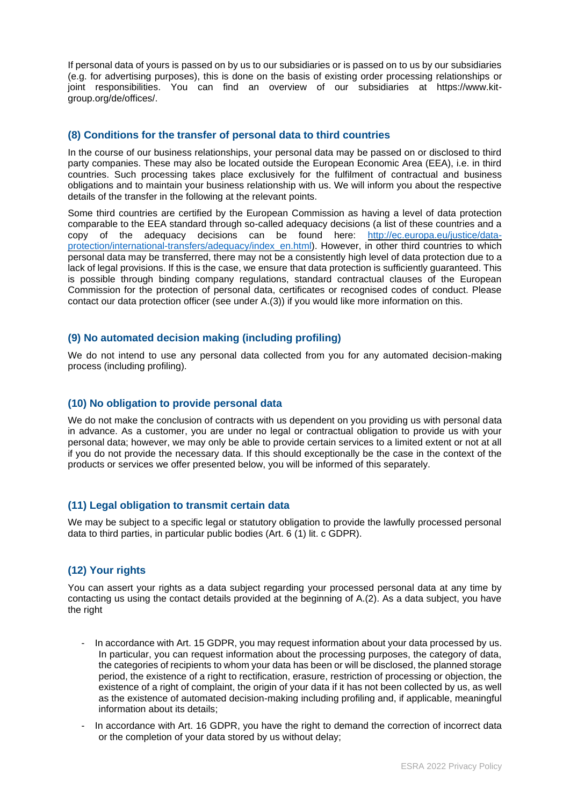If personal data of yours is passed on by us to our subsidiaries or is passed on to us by our subsidiaries (e.g. for advertising purposes), this is done on the basis of existing order processing relationships or joint responsibilities. You can find an overview of our subsidiaries at https://www.kitgroup.org/de/offices/.

### **(8) Conditions for the transfer of personal data to third countries**

In the course of our business relationships, your personal data may be passed on or disclosed to third party companies. These may also be located outside the European Economic Area (EEA), i.e. in third countries. Such processing takes place exclusively for the fulfilment of contractual and business obligations and to maintain your business relationship with us. We will inform you about the respective details of the transfer in the following at the relevant points.

Some third countries are certified by the European Commission as having a level of data protection comparable to the EEA standard through so-called adequacy decisions (a list of these countries and a copy of the adequacy decisions can be found here: [http://ec.europa.eu/justice/data](http://ec.europa.eu/justice/data-protection/international-transfers/adequacy/index_en.html)[protection/international-transfers/adequacy/index\\_en.html\)](http://ec.europa.eu/justice/data-protection/international-transfers/adequacy/index_en.html). However, in other third countries to which personal data may be transferred, there may not be a consistently high level of data protection due to a lack of legal provisions. If this is the case, we ensure that data protection is sufficiently guaranteed. This is possible through binding company regulations, standard contractual clauses of the European Commission for the protection of personal data, certificates or recognised codes of conduct. Please contact our data protection officer (see under A.(3)) if you would like more information on this.

### **(9) No automated decision making (including profiling)**

We do not intend to use any personal data collected from you for any automated decision-making process (including profiling).

### **(10) No obligation to provide personal data**

We do not make the conclusion of contracts with us dependent on you providing us with personal data in advance. As a customer, you are under no legal or contractual obligation to provide us with your personal data; however, we may only be able to provide certain services to a limited extent or not at all if you do not provide the necessary data. If this should exceptionally be the case in the context of the products or services we offer presented below, you will be informed of this separately.

## **(11) Legal obligation to transmit certain data**

We may be subject to a specific legal or statutory obligation to provide the lawfully processed personal data to third parties, in particular public bodies (Art. 6 (1) lit. c GDPR).

## **(12) Your rights**

You can assert your rights as a data subject regarding your processed personal data at any time by contacting us using the contact details provided at the beginning of A.(2). As a data subject, you have the right

- In accordance with Art. 15 GDPR, you may request information about your data processed by us. In particular, you can request information about the processing purposes, the category of data, the categories of recipients to whom your data has been or will be disclosed, the planned storage period, the existence of a right to rectification, erasure, restriction of processing or objection, the existence of a right of complaint, the origin of your data if it has not been collected by us, as well as the existence of automated decision-making including profiling and, if applicable, meaningful information about its details;
- In accordance with Art. 16 GDPR, you have the right to demand the correction of incorrect data or the completion of your data stored by us without delay;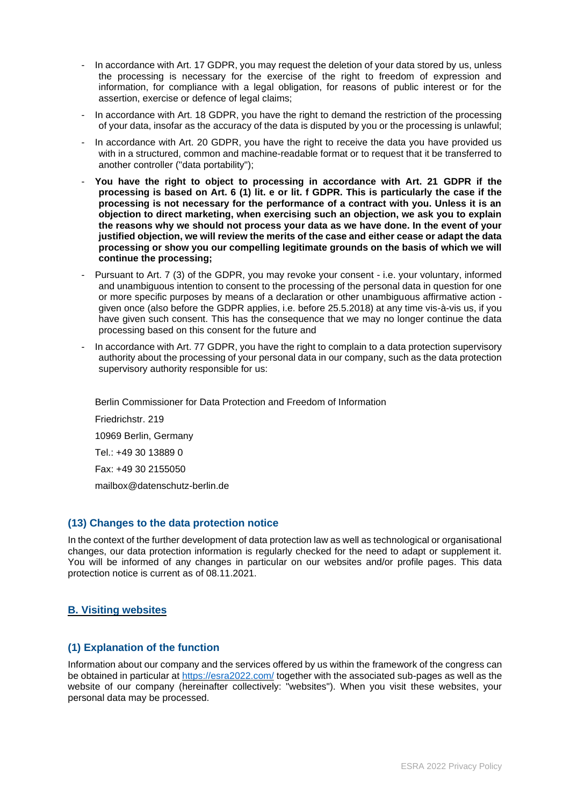- In accordance with Art. 17 GDPR, you may request the deletion of your data stored by us, unless the processing is necessary for the exercise of the right to freedom of expression and information, for compliance with a legal obligation, for reasons of public interest or for the assertion, exercise or defence of legal claims;
- In accordance with Art. 18 GDPR, you have the right to demand the restriction of the processing of your data, insofar as the accuracy of the data is disputed by you or the processing is unlawful;
- In accordance with Art. 20 GDPR, you have the right to receive the data you have provided us with in a structured, common and machine-readable format or to request that it be transferred to another controller ("data portability");
- **You have the right to object to processing in accordance with Art. 21 GDPR if the processing is based on Art. 6 (1) lit. e or lit. f GDPR. This is particularly the case if the processing is not necessary for the performance of a contract with you. Unless it is an objection to direct marketing, when exercising such an objection, we ask you to explain the reasons why we should not process your data as we have done. In the event of your justified objection, we will review the merits of the case and either cease or adapt the data processing or show you our compelling legitimate grounds on the basis of which we will continue the processing;**
- Pursuant to Art. 7 (3) of the GDPR, you may revoke your consent i.e. your voluntary, informed and unambiguous intention to consent to the processing of the personal data in question for one or more specific purposes by means of a declaration or other unambiguous affirmative action given once (also before the GDPR applies, i.e. before 25.5.2018) at any time vis-à-vis us, if you have given such consent. This has the consequence that we may no longer continue the data processing based on this consent for the future and
- In accordance with Art. 77 GDPR, you have the right to complain to a data protection supervisory authority about the processing of your personal data in our company, such as the data protection supervisory authority responsible for us:

Berlin Commissioner for Data Protection and Freedom of Information Friedrichstr. 219 10969 Berlin, Germany Tel.: +49 30 13889 0 Fax: +49 30 2155050 mailbox@datenschutz-berlin.de

## **(13) Changes to the data protection notice**

In the context of the further development of data protection law as well as technological or organisational changes, our data protection information is regularly checked for the need to adapt or supplement it. You will be informed of any changes in particular on our websites and/or profile pages. This data protection notice is current as of 08.11.2021.

## **B. Visiting websites**

## **(1) Explanation of the function**

Information about our company and the services offered by us within the framework of the congress can be obtained in particular at<https://esra2022.com/> together with the associated sub-pages as well as the website of our company (hereinafter collectively: "websites"). When you visit these websites, your personal data may be processed.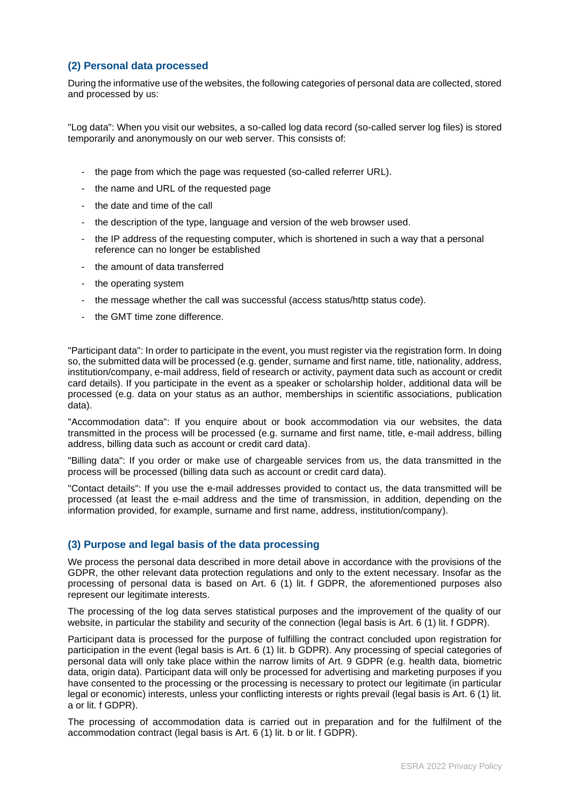## **(2) Personal data processed**

During the informative use of the websites, the following categories of personal data are collected, stored and processed by us:

"Log data": When you visit our websites, a so-called log data record (so-called server log files) is stored temporarily and anonymously on our web server. This consists of:

- the page from which the page was requested (so-called referrer URL).
- the name and URL of the requested page
- the date and time of the call
- the description of the type, language and version of the web browser used.
- the IP address of the requesting computer, which is shortened in such a way that a personal reference can no longer be established
- the amount of data transferred
- the operating system
- the message whether the call was successful (access status/http status code).
- the GMT time zone difference.

"Participant data": In order to participate in the event, you must register via the registration form. In doing so, the submitted data will be processed (e.g. gender, surname and first name, title, nationality, address, institution/company, e-mail address, field of research or activity, payment data such as account or credit card details). If you participate in the event as a speaker or scholarship holder, additional data will be processed (e.g. data on your status as an author, memberships in scientific associations, publication data).

"Accommodation data": If you enquire about or book accommodation via our websites, the data transmitted in the process will be processed (e.g. surname and first name, title, e-mail address, billing address, billing data such as account or credit card data).

"Billing data": If you order or make use of chargeable services from us, the data transmitted in the process will be processed (billing data such as account or credit card data).

"Contact details": If you use the e-mail addresses provided to contact us, the data transmitted will be processed (at least the e-mail address and the time of transmission, in addition, depending on the information provided, for example, surname and first name, address, institution/company).

### **(3) Purpose and legal basis of the data processing**

We process the personal data described in more detail above in accordance with the provisions of the GDPR, the other relevant data protection regulations and only to the extent necessary. Insofar as the processing of personal data is based on Art. 6 (1) lit. f GDPR, the aforementioned purposes also represent our legitimate interests.

The processing of the log data serves statistical purposes and the improvement of the quality of our website, in particular the stability and security of the connection (legal basis is Art. 6 (1) lit. f GDPR).

Participant data is processed for the purpose of fulfilling the contract concluded upon registration for participation in the event (legal basis is Art. 6 (1) lit. b GDPR). Any processing of special categories of personal data will only take place within the narrow limits of Art. 9 GDPR (e.g. health data, biometric data, origin data). Participant data will only be processed for advertising and marketing purposes if you have consented to the processing or the processing is necessary to protect our legitimate (in particular legal or economic) interests, unless your conflicting interests or rights prevail (legal basis is Art. 6 (1) lit. a or lit. f GDPR).

The processing of accommodation data is carried out in preparation and for the fulfilment of the accommodation contract (legal basis is Art. 6 (1) lit. b or lit. f GDPR).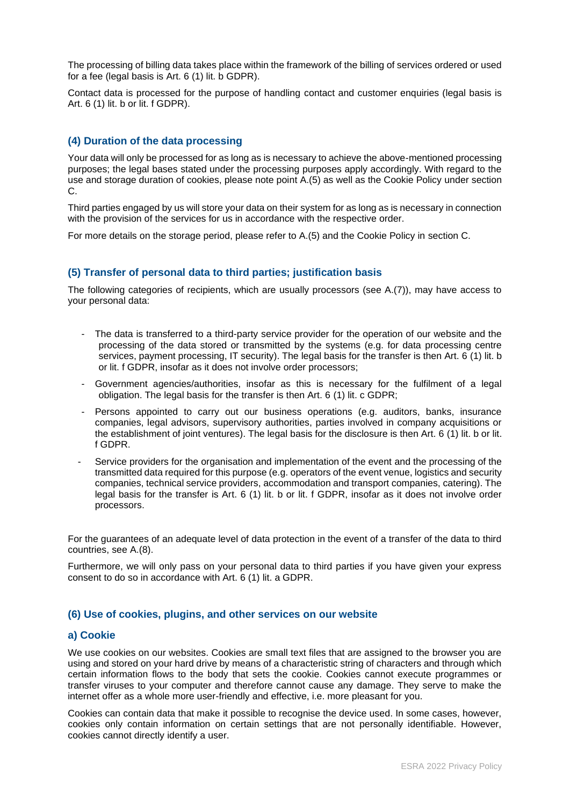The processing of billing data takes place within the framework of the billing of services ordered or used for a fee (legal basis is Art. 6 (1) lit. b GDPR).

Contact data is processed for the purpose of handling contact and customer enquiries (legal basis is Art. 6 (1) lit. b or lit. f GDPR).

### **(4) Duration of the data processing**

Your data will only be processed for as long as is necessary to achieve the above-mentioned processing purposes; the legal bases stated under the processing purposes apply accordingly. With regard to the use and storage duration of cookies, please note point A.(5) as well as the Cookie Policy under section C.

Third parties engaged by us will store your data on their system for as long as is necessary in connection with the provision of the services for us in accordance with the respective order.

For more details on the storage period, please refer to A.(5) and the Cookie Policy in section C.

### **(5) Transfer of personal data to third parties; justification basis**

The following categories of recipients, which are usually processors (see A.(7)), may have access to your personal data:

- The data is transferred to a third-party service provider for the operation of our website and the processing of the data stored or transmitted by the systems (e.g. for data processing centre services, payment processing, IT security). The legal basis for the transfer is then Art. 6 (1) lit. b or lit. f GDPR, insofar as it does not involve order processors;
- Government agencies/authorities, insofar as this is necessary for the fulfilment of a legal obligation. The legal basis for the transfer is then Art. 6 (1) lit. c GDPR;
- Persons appointed to carry out our business operations (e.g. auditors, banks, insurance companies, legal advisors, supervisory authorities, parties involved in company acquisitions or the establishment of joint ventures). The legal basis for the disclosure is then Art. 6 (1) lit. b or lit. f GDPR.
- Service providers for the organisation and implementation of the event and the processing of the transmitted data required for this purpose (e.g. operators of the event venue, logistics and security companies, technical service providers, accommodation and transport companies, catering). The legal basis for the transfer is Art. 6 (1) lit. b or lit. f GDPR, insofar as it does not involve order processors.

For the guarantees of an adequate level of data protection in the event of a transfer of the data to third countries, see A.(8).

Furthermore, we will only pass on your personal data to third parties if you have given your express consent to do so in accordance with Art. 6 (1) lit. a GDPR.

### **(6) Use of cookies, plugins, and other services on our website**

#### **a) Cookie**

We use cookies on our websites. Cookies are small text files that are assigned to the browser you are using and stored on your hard drive by means of a characteristic string of characters and through which certain information flows to the body that sets the cookie. Cookies cannot execute programmes or transfer viruses to your computer and therefore cannot cause any damage. They serve to make the internet offer as a whole more user-friendly and effective, i.e. more pleasant for you.

Cookies can contain data that make it possible to recognise the device used. In some cases, however, cookies only contain information on certain settings that are not personally identifiable. However, cookies cannot directly identify a user.